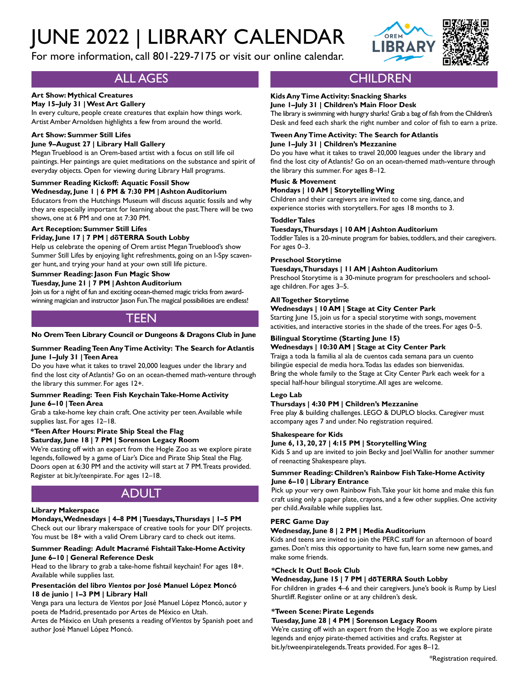# JUNE 2022 | LIBRARY CALENDAR

For more information, call 801-229-7175 or visit our online calendar.



# ALL AGES

## **Art Show: Mythical Creatures**

## **May 15–July 31 | West Art Gallery**

In every culture, people create creatures that explain how things work. Artist Amber Arnoldsen highlights a few from around the world.

#### **Art Show: Summer Still Lifes**

#### **June 9–August 27 | Library Hall Gallery**

Megan Trueblood is an Orem-based artist with a focus on still life oil paintings. Her paintings are quiet meditations on the substance and spirit of everyday objects. Open for viewing during Library Hall programs.

#### **Summer Reading Kickoff: Aquatic Fossil Show**

**Wednesday, June 1 | 6 PM & 7:30 PM | Ashton Auditorium** Educators from the Hutchings Museum will discuss aquatic fossils and why they are especially important for learning about the past. There will be two shows, one at 6 PM and one at 7:30 PM.

#### **Art Reception: Summer Still Lifes**

#### **Friday, June 17 | 7 PM | doTERRA South Lobby**

Help us celebrate the opening of Orem artist Megan Trueblood's show Summer Still Lifes by enjoying light refreshments, going on an I-Spy scavenger hunt, and trying your hand at your own still life picture.

## **Summer Reading: Jason Fun Magic Show**

#### **Tuesday, June 21 | 7 PM | Ashton Auditorium**

Join us for a night of fun and exciting ocean-themed magic tricks from awardwinning magician and instructor Jason Fun. The magical possibilities are endless!

# TEEN

#### **No Orem Teen Library Council or Dungeons & Dragons Club in June**

#### **Summer Reading Teen Any Time Activity: The Search for Atlantis June 1–July 31 | Teen Area**

Do you have what it takes to travel 20,000 leagues under the library and find the lost city of Atlantis? Go on an ocean-themed math-venture through the library this summer. For ages 12+.

#### **Summer Reading: Teen Fish Keychain Take-Home Activity June 6–10 | Teen Area**

Grab a take-home key chain craft. One activity per teen. Available while supplies last. For ages 12–18.

#### **\*Teen After Hours: Pirate Ship Steal the Flag Saturday, June 18 | 7 PM | Sorenson Legacy Room**

We're casting off with an expert from the Hogle Zoo as we explore pirate legends, followed by a game of Liar's Dice and Pirate Ship Steal the Flag. Doors open at 6:30 PM and the activity will start at 7 PM. Treats provided. Register at bit.ly/teenpirate. For ages 12–18.

# ADULT

#### **Library Makerspace**

#### **Mondays, Wednesdays | 4–8 PM | Tuesdays, Thursdays | 1–5 PM** Check out our library makerspace of creative tools for your DIY projects. You must be 18+ with a valid Orem Library card to check out items.

#### **Summer Reading: Adult Macramé Fishtail Take-Home Activity June 6–10 | General Reference Desk**

Head to the library to grab a take-home fishtail keychain! For ages 18+. Available while supplies last.

#### **Presentación del libro** *Vientos* **por José Manuel López Moncó 18 de junio | 1–3 PM | Library Hall**

Venga para una lectura de *Vientos* por José Manuel López Moncó, autor y poeta de Madrid, presentado por Artes de México en Utah.

Artes de México en Utah presents a reading of *Vientos* by Spanish poet and author José Manuel López Moncó.

# **CHILDREN**

# **Kids Any Time Activity: Snacking Sharks**

**June 1–July 31 | Children's Main Floor Desk** The library is swimming with hungry sharks! Grab a bag of fish from the Children's Desk and feed each shark the right number and color of fish to earn a prize.

#### **Tween Any Time Activity: The Search for Atlantis June 1–July 31 | Children's Mezzanine**

Do you have what it takes to travel 20,000 leagues under the library and find the lost city of Atlantis? Go on an ocean-themed math-venture through the library this summer. For ages 8–12.

#### **Music & Movement**

#### **Mondays | 10 AM | Storytelling Wing**

Children and their caregivers are invited to come sing, dance, and experience stories with storytellers. For ages 18 months to 3.

#### **Toddler Tales**

#### **Tuesdays, Thursdays | 10 AM | Ashton Auditorium**

Toddler Tales is a 20-minute program for babies, toddlers, and their caregivers. For ages 0–3.

#### **Preschool Storytime**

#### **Tuesdays, Thursdays | 11 AM | Ashton Auditorium**

Preschool Storytime is a 30-minute program for preschoolers and schoolage children. For ages 3–5.

#### **All Together Storytime**

#### **Wednesdays | 10 AM | Stage at City Center Park**

Starting June 15, join us for a special storytime with songs, movement activities, and interactive stories in the shade of the trees. For ages 0–5.

## **Bilingual Storytime (Starting June 15)**

**Wednesdays | 10:30 AM | Stage at City Center Park** Traiga a toda la familia al ala de cuentos cada semana para un cuento bilingüe especial de media hora. Todas las edades son bienvenidas. Bring the whole family to the Stage at City Center Park each week for a special half-hour bilingual storytime. All ages are welcome.

#### **Lego Lab**

#### **Thursdays | 4:30 PM | Children's Mezzanine**

Free play & building challenges. LEGO & DUPLO blocks. Caregiver must accompany ages 7 and under. No registration required.

#### **Shakespeare for Kids**

#### **June 6, 13, 20, 27 | 4:15 PM | Storytelling Wing**

Kids 5 and up are invited to join Becky and Joel Wallin for another summer of reenacting Shakespeare plays.

#### **Summer Reading: Children's Rainbow Fish Take-Home Activity June 6–10 | Library Entrance**

Pick up your very own Rainbow Fish. Take your kit home and make this fun craft using only a paper plate, crayons, and a few other supplies. One activity per child. Available while supplies last.

#### **PERC Game Day**

#### **Wednesday, June 8 | 2 PM | Media Auditorium**

Kids and teens are invited to join the PERC staff for an afternoon of board games. Don't miss this opportunity to have fun, learn some new games, and make some friends.

### **\*Check It Out! Book Club**

#### **Wednesday, June 15 | 7 PM | doTERRA South Lobby**

For children in grades 4–6 and their caregivers. June's book is Rump by Liesl Shurtliff. Register online or at any children's desk.

#### **\*Tween Scene: Pirate Legends**

#### **Tuesday, June 28 | 4 PM | Sorenson Legacy Room**

We're casting off with an expert from the Hogle Zoo as we explore pirate legends and enjoy pirate-themed activities and crafts. Register at bit.ly/tweenpiratelegends. Treats provided. For ages 8–12.